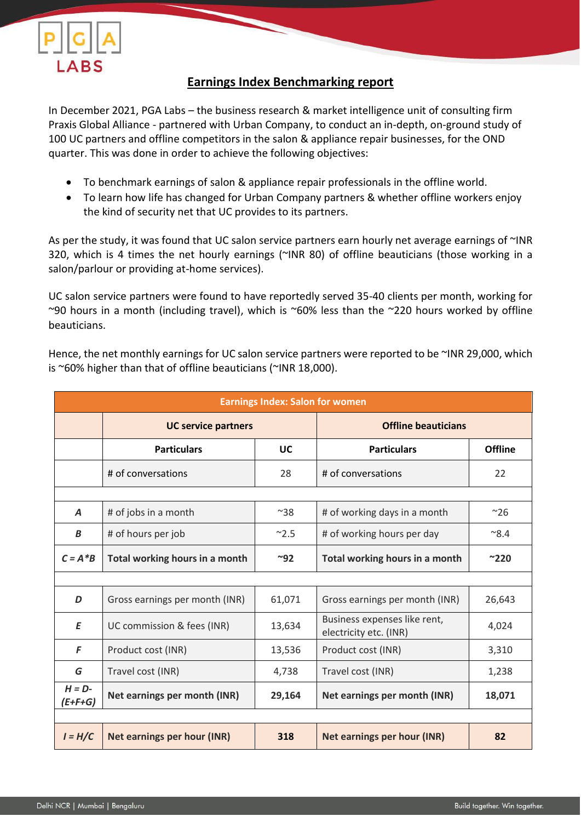

## **Earnings Index Benchmarking report**

In December 2021, PGA Labs – the business research & market intelligence unit of consulting firm Praxis Global Alliance - partnered with Urban Company, to conduct an in-depth, on-ground study of 100 UC partners and offline competitors in the salon & appliance repair businesses, for the OND quarter. This was done in order to achieve the following objectives:

- To benchmark earnings of salon & appliance repair professionals in the offline world.
- To learn how life has changed for Urban Company partners & whether offline workers enjoy the kind of security net that UC provides to its partners.

As per the study, it was found that UC salon service partners earn hourly net average earnings of ~INR 320, which is 4 times the net hourly earnings (~INR 80) of offline beauticians (those working in a salon/parlour or providing at-home services).

UC salon service partners were found to have reportedly served 35-40 clients per month, working for ~90 hours in a month (including travel), which is ~60% less than the ~220 hours worked by offline beauticians.

Hence, the net monthly earnings for UC salon service partners were reported to be ~INR 29,000, which is ~60% higher than that of offline beauticians (~INR 18,000).

| <b>Earnings Index: Salon for women</b> |                                |              |                                                        |                |  |  |  |
|----------------------------------------|--------------------------------|--------------|--------------------------------------------------------|----------------|--|--|--|
|                                        | <b>UC service partners</b>     |              | <b>Offline beauticians</b>                             |                |  |  |  |
|                                        | <b>Particulars</b>             | UC           | <b>Particulars</b>                                     | <b>Offline</b> |  |  |  |
|                                        | # of conversations             | 28           | # of conversations                                     | 22             |  |  |  |
|                                        |                                |              |                                                        |                |  |  |  |
| $\boldsymbol{A}$                       | # of jobs in a month           | $^{\sim}38$  | # of working days in a month                           | $^{\sim}26$    |  |  |  |
| B                                      | # of hours per job             | $^{\sim}2.5$ | # of working hours per day                             | $^{\sim}8.4$   |  |  |  |
| $C = A * B$                            | Total working hours in a month | ~92          | Total working hours in a month                         | $^{\sim}220$   |  |  |  |
|                                        |                                |              |                                                        |                |  |  |  |
| D                                      | Gross earnings per month (INR) | 61,071       | Gross earnings per month (INR)                         | 26,643         |  |  |  |
| E                                      | UC commission & fees (INR)     | 13,634       | Business expenses like rent,<br>electricity etc. (INR) | 4,024          |  |  |  |
| F                                      | Product cost (INR)             | 13,536       | Product cost (INR)                                     | 3,310          |  |  |  |
| G                                      | Travel cost (INR)              | 4,738        | Travel cost (INR)                                      | 1,238          |  |  |  |
| $H = D$ -<br>(E+F+G)                   | Net earnings per month (INR)   | 29,164       | Net earnings per month (INR)                           | 18,071         |  |  |  |
|                                        |                                |              |                                                        |                |  |  |  |
| $I = H/C$                              | Net earnings per hour (INR)    | 318          | Net earnings per hour (INR)                            | 82             |  |  |  |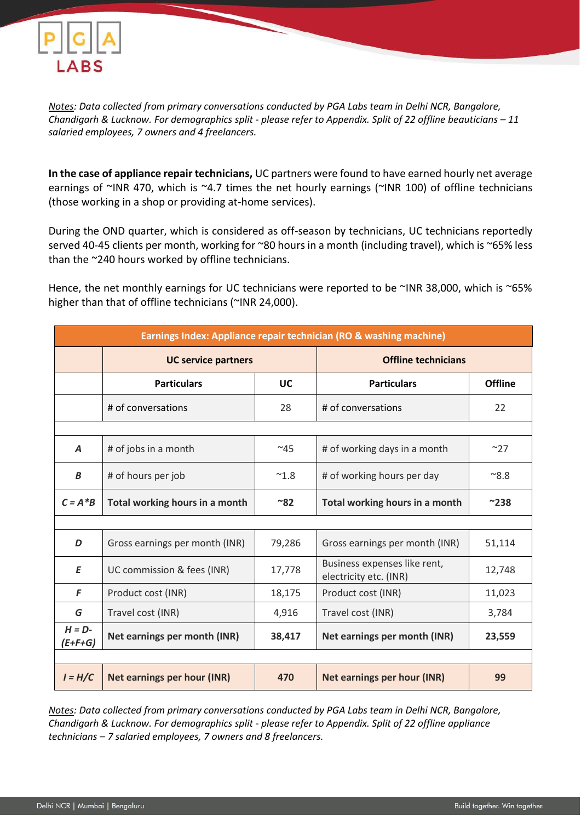

*Notes: Data collected from primary conversations conducted by PGA Labs team in Delhi NCR, Bangalore, Chandigarh & Lucknow. For demographics split - please refer to Appendix. Split of 22 offline beauticians – 11 salaried employees, 7 owners and 4 freelancers.*

**In the case of appliance repair technicians,** UC partners were found to have earned hourly net average earnings of ~INR 470, which is ~4.7 times the net hourly earnings (~INR 100) of offline technicians (those working in a shop or providing at-home services).

During the OND quarter, which is considered as off-season by technicians, UC technicians reportedly served 40-45 clients per month, working for ~80 hours in a month (including travel), which is ~65% less than the ~240 hours worked by offline technicians.

Hence, the net monthly earnings for UC technicians were reported to be ~INR 38,000, which is ~65% higher than that of offline technicians (~INR 24,000).

| Earnings Index: Appliance repair technician (RO & washing machine) |                                |               |                                                        |                |  |  |  |
|--------------------------------------------------------------------|--------------------------------|---------------|--------------------------------------------------------|----------------|--|--|--|
|                                                                    | <b>UC service partners</b>     |               | <b>Offline technicians</b>                             |                |  |  |  |
|                                                                    | <b>Particulars</b>             | UC            | <b>Particulars</b>                                     | <b>Offline</b> |  |  |  |
|                                                                    | # of conversations             | 28            | # of conversations                                     | 22             |  |  |  |
|                                                                    |                                |               |                                                        |                |  |  |  |
| A                                                                  | # of jobs in a month           | $~^{\sim}45$  | # of working days in a month                           | $~^{\sim}$ 27  |  |  |  |
| B                                                                  | # of hours per job             | $^{\sim}$ 1.8 | # of working hours per day                             | $^{\sim}8.8$   |  |  |  |
| $C = A^*B$                                                         | Total working hours in a month | ~82           | Total working hours in a month                         | $^{\sim}238$   |  |  |  |
|                                                                    |                                |               |                                                        |                |  |  |  |
| D                                                                  | Gross earnings per month (INR) | 79,286        | Gross earnings per month (INR)                         | 51,114         |  |  |  |
| E                                                                  | UC commission & fees (INR)     | 17,778        | Business expenses like rent,<br>electricity etc. (INR) | 12,748         |  |  |  |
| F                                                                  | Product cost (INR)             | 18,175        | Product cost (INR)                                     | 11,023         |  |  |  |
| G                                                                  | Travel cost (INR)              | 4,916         | Travel cost (INR)                                      | 3,784          |  |  |  |
| $H = D$ -<br>$(E+F+G)$                                             | Net earnings per month (INR)   | 38,417        | Net earnings per month (INR)                           | 23,559         |  |  |  |
|                                                                    |                                |               |                                                        |                |  |  |  |
| $I = H/C$                                                          | Net earnings per hour (INR)    | 470           | <b>Net earnings per hour (INR)</b>                     | 99             |  |  |  |

*Notes: Data collected from primary conversations conducted by PGA Labs team in Delhi NCR, Bangalore, Chandigarh & Lucknow. For demographics split - please refer to Appendix. Split of 22 offline appliance technicians – 7 salaried employees, 7 owners and 8 freelancers.*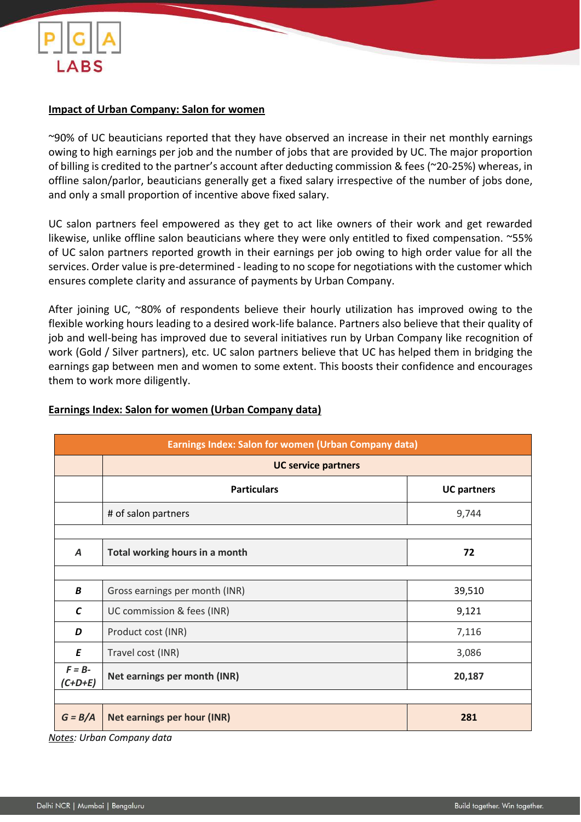

### **Impact of Urban Company: Salon for women**

~90% of UC beauticians reported that they have observed an increase in their net monthly earnings owing to high earnings per job and the number of jobs that are provided by UC. The major proportion of billing is credited to the partner's account after deducting commission & fees (~20-25%) whereas, in offline salon/parlor, beauticians generally get a fixed salary irrespective of the number of jobs done, and only a small proportion of incentive above fixed salary.

UC salon partners feel empowered as they get to act like owners of their work and get rewarded likewise, unlike offline salon beauticians where they were only entitled to fixed compensation. ~55% of UC salon partners reported growth in their earnings per job owing to high order value for all the services. Order value is pre-determined - leading to no scope for negotiations with the customer which ensures complete clarity and assurance of payments by Urban Company.

After joining UC, ~80% of respondents believe their hourly utilization has improved owing to the flexible working hours leading to a desired work-life balance. Partners also believe that their quality of job and well-being has improved due to several initiatives run by Urban Company like recognition of work (Gold / Silver partners), etc. UC salon partners believe that UC has helped them in bridging the earnings gap between men and women to some extent. This boosts their confidence and encourages them to work more diligently.

| <b>Earnings Index: Salon for women (Urban Company data)</b> |                                    |                    |  |  |  |
|-------------------------------------------------------------|------------------------------------|--------------------|--|--|--|
|                                                             | <b>UC service partners</b>         |                    |  |  |  |
|                                                             | <b>Particulars</b>                 | <b>UC partners</b> |  |  |  |
|                                                             | # of salon partners                | 9,744              |  |  |  |
|                                                             |                                    |                    |  |  |  |
| A                                                           | Total working hours in a month     | 72                 |  |  |  |
|                                                             |                                    |                    |  |  |  |
| B                                                           | Gross earnings per month (INR)     | 39,510             |  |  |  |
| $\epsilon$                                                  | UC commission & fees (INR)         | 9,121              |  |  |  |
| D                                                           | Product cost (INR)                 | 7,116              |  |  |  |
| E                                                           | Travel cost (INR)                  | 3,086              |  |  |  |
| $F = B -$<br>$(C+D+E)$                                      | Net earnings per month (INR)       | 20,187             |  |  |  |
|                                                             |                                    |                    |  |  |  |
| $G = B/A$                                                   | <b>Net earnings per hour (INR)</b> | 281                |  |  |  |

### **Earnings Index: Salon for women (Urban Company data)**

*Notes: Urban Company data*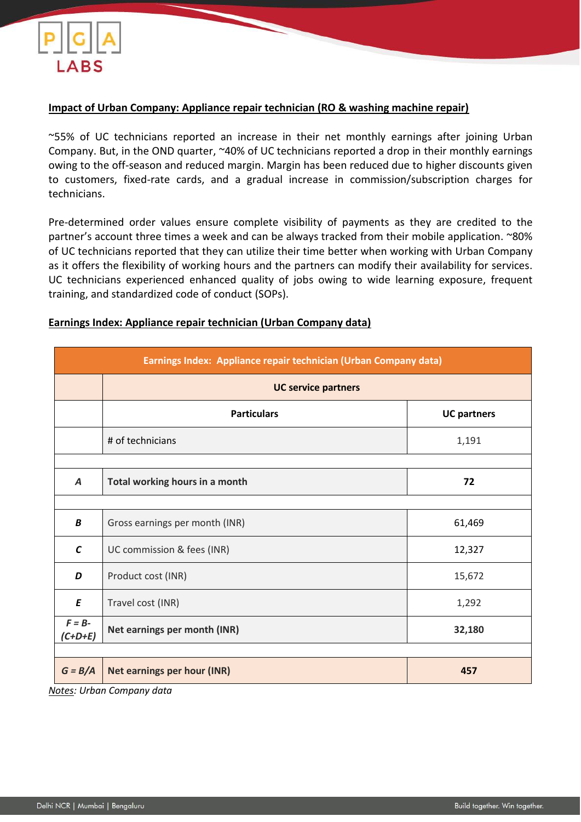

### **Impact of Urban Company: Appliance repair technician (RO & washing machine repair)**

~55% of UC technicians reported an increase in their net monthly earnings after joining Urban Company. But, in the OND quarter, ~40% of UC technicians reported a drop in their monthly earnings owing to the off-season and reduced margin. Margin has been reduced due to higher discounts given to customers, fixed-rate cards, and a gradual increase in commission/subscription charges for technicians.

Pre-determined order values ensure complete visibility of payments as they are credited to the partner's account three times a week and can be always tracked from their mobile application. ~80% of UC technicians reported that they can utilize their time better when working with Urban Company as it offers the flexibility of working hours and the partners can modify their availability for services. UC technicians experienced enhanced quality of jobs owing to wide learning exposure, frequent training, and standardized code of conduct (SOPs).

#### **Earnings Index: Appliance repair technician (Urban Company data)**

| Earnings Index: Appliance repair technician (Urban Company data) |                                                              |                    |  |  |  |
|------------------------------------------------------------------|--------------------------------------------------------------|--------------------|--|--|--|
|                                                                  | <b>UC service partners</b>                                   |                    |  |  |  |
|                                                                  | <b>Particulars</b>                                           | <b>UC partners</b> |  |  |  |
|                                                                  | # of technicians                                             | 1,191              |  |  |  |
|                                                                  |                                                              |                    |  |  |  |
| A                                                                | Total working hours in a month                               | 72                 |  |  |  |
|                                                                  |                                                              |                    |  |  |  |
| B                                                                | Gross earnings per month (INR)                               | 61,469             |  |  |  |
| $\mathsf{C}$                                                     | UC commission & fees (INR)                                   | 12,327             |  |  |  |
| D                                                                | Product cost (INR)                                           | 15,672             |  |  |  |
| E                                                                | Travel cost (INR)                                            | 1,292              |  |  |  |
| $F = B$ -<br>$(C+D+E)$                                           | Net earnings per month (INR)                                 | 32,180             |  |  |  |
|                                                                  |                                                              |                    |  |  |  |
| $G = B/A$<br>.                                                   | <b>Net earnings per hour (INR)</b><br>$\mathbf{r}$<br>$\sim$ | 457                |  |  |  |

*Notes: Urban Company data*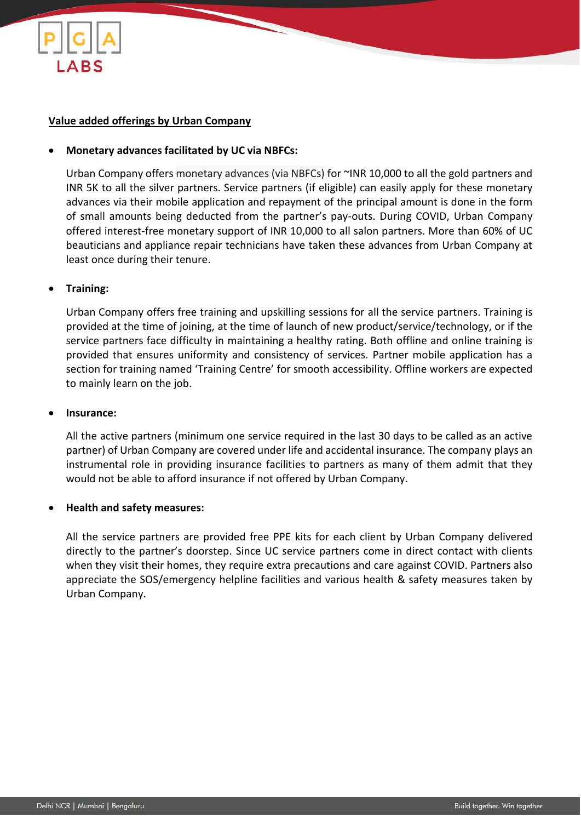

### **Value added offerings by Urban Company**

#### • **Monetary advances facilitated by UC via NBFCs:**

Urban Company offers monetary advances (via NBFCs) for ~INR 10,000 to all the gold partners and INR 5K to all the silver partners. Service partners (if eligible) can easily apply for these monetary advances via their mobile application and repayment of the principal amount is done in the form of small amounts being deducted from the partner's pay-outs. During COVID, Urban Company offered interest-free monetary support of INR 10,000 to all salon partners. More than 60% of UC beauticians and appliance repair technicians have taken these advances from Urban Company at least once during their tenure.

#### • **Training:**

Urban Company offers free training and upskilling sessions for all the service partners. Training is provided at the time of joining, at the time of launch of new product/service/technology, or if the service partners face difficulty in maintaining a healthy rating. Both offline and online training is provided that ensures uniformity and consistency of services. Partner mobile application has a section for training named 'Training Centre' for smooth accessibility. Offline workers are expected to mainly learn on the job.

#### • **Insurance:**

All the active partners (minimum one service required in the last 30 days to be called as an active partner) of Urban Company are covered under life and accidental insurance. The company plays an instrumental role in providing insurance facilities to partners as many of them admit that they would not be able to afford insurance if not offered by Urban Company.

#### • **Health and safety measures:**

All the service partners are provided free PPE kits for each client by Urban Company delivered directly to the partner's doorstep. Since UC service partners come in direct contact with clients when they visit their homes, they require extra precautions and care against COVID. Partners also appreciate the SOS/emergency helpline facilities and various health & safety measures taken by Urban Company.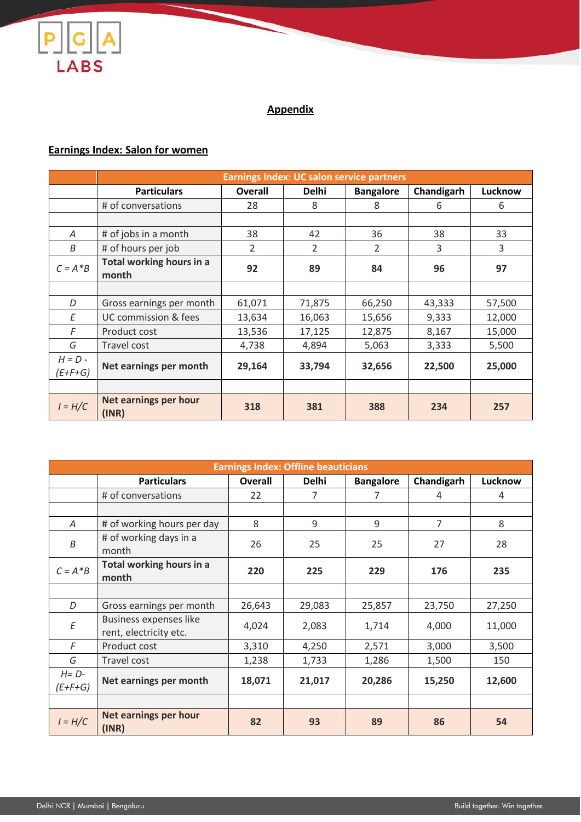

# **Appendix**

# **Earnings Index: Salon for women**

|                        | <b>Earnings Index: UC salon service partners</b> |                |                |                  |            |         |  |
|------------------------|--------------------------------------------------|----------------|----------------|------------------|------------|---------|--|
|                        | <b>Particulars</b>                               | <b>Overall</b> | <b>Delhi</b>   | <b>Bangalore</b> | Chandigarh | Lucknow |  |
|                        | # of conversations                               | 28             | 8              | 8                | 6          | 6       |  |
|                        |                                                  |                |                |                  |            |         |  |
| Α                      | # of jobs in a month                             | 38             | 42             | 36               | 38         | 33      |  |
| B                      | # of hours per job                               | $\mathcal{P}$  | $\overline{2}$ | $\overline{2}$   | 3          | 3       |  |
| $C = A * B$            | Total working hours in a<br>month                | 92             | 89             | 84               | 96         | 97      |  |
|                        |                                                  |                |                |                  |            |         |  |
| D                      | Gross earnings per month                         | 61,071         | 71,875         | 66,250           | 43,333     | 57,500  |  |
| E                      | UC commission & fees                             | 13,634         | 16,063         | 15,656           | 9,333      | 12,000  |  |
| F                      | Product cost                                     | 13,536         | 17,125         | 12,875           | 8,167      | 15,000  |  |
| G                      | Travel cost                                      | 4,738          | 4,894          | 5,063            | 3,333      | 5,500   |  |
| $H = D -$<br>$(E+F+G)$ | Net earnings per month                           | 29,164         | 33,794         | 32,656           | 22,500     | 25,000  |  |
|                        |                                                  |                |                |                  |            |         |  |
| $I = H/C$              | Net earnings per hour<br>(INR)                   | 318            | 381            | 388              | 234        | 257     |  |

| <b>Earnings Index: Offline beauticians</b> |                                                  |                |              |                  |                |         |  |
|--------------------------------------------|--------------------------------------------------|----------------|--------------|------------------|----------------|---------|--|
|                                            | <b>Particulars</b>                               | <b>Overall</b> | <b>Delhi</b> | <b>Bangalore</b> | Chandigarh     | Lucknow |  |
|                                            | # of conversations                               | 22             | 7            | 7                | 4              | 4       |  |
|                                            |                                                  |                |              |                  |                |         |  |
| A                                          | # of working hours per day                       | 8              | 9            | 9                | $\overline{7}$ | 8       |  |
| $\boldsymbol{B}$                           | # of working days in a<br>month                  | 26             | 25           | 25               | 27             | 28      |  |
| $C = A * B$                                | Total working hours in a<br>month                | 220            | 225          | 229              | 176            | 235     |  |
|                                            |                                                  |                |              |                  |                |         |  |
| D                                          | Gross earnings per month                         | 26,643         | 29,083       | 25,857           | 23,750         | 27,250  |  |
| $\cal E$                                   | Business expenses like<br>rent, electricity etc. | 4,024          | 2,083        | 1,714            | 4,000          | 11,000  |  |
| F                                          | Product cost                                     | 3,310          | 4,250        | 2,571            | 3,000          | 3,500   |  |
| G                                          | Travel cost                                      | 1,238          | 1,733        | 1,286            | 1,500          | 150     |  |
| $H = D -$<br>(E+F+G)                       | Net earnings per month                           | 18,071         | 21,017       | 20,286           | 15,250         | 12,600  |  |
|                                            |                                                  |                |              |                  |                |         |  |
| $I = H/C$                                  | Net earnings per hour<br>(INR)                   | 82             | 93           | 89               | 86             | 54      |  |